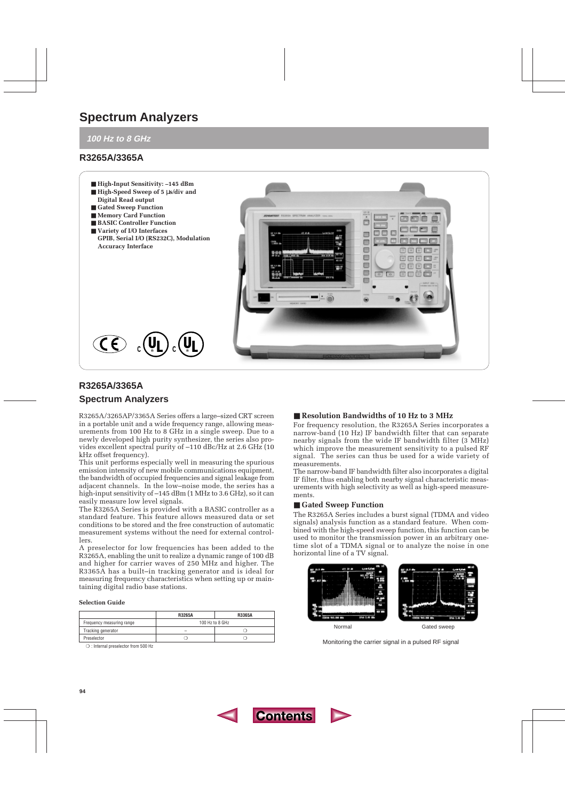# **Spectrum Analyzers**

**100 Hz to 8 GHz**

# **R3265A/3365A**



# **R3265A/3365A**

## **Spectrum Analyzers**

R3265A/3265AP/3365A Series offers a large–sized CRT screen in a portable unit and a wide frequency range, allowing measurements from 100 Hz to 8 GHz in a single sweep. Due to a newly developed high purity synthesizer, the series also provides excellent spectral purity of –110 dBc/Hz at 2.6 GHz (10 kHz offset frequency).

This unit performs especially well in measuring the spurious emission intensity of new mobile communications equipment, the bandwidth of occupied frequencies and signal leakage from adjacent channels. In the low–noise mode, the series has a high-input sensitivity of  $-145$  dBm (1 MHz to 3.6 GHz), so it can easily measure low level signals.

The R3265A Series is provided with a BASIC controller as a standard feature. This feature allows measured data or set conditions to be stored and the free construction of automatic measurement systems without the need for external controllers.

A preselector for low frequencies has been added to the R3265A, enabling the unit to realize a dynamic range of 100 dB and higher for carrier waves of 250 MHz and higher. The R3365A has a built–in tracking generator and is ideal for measuring frequency characteristics when setting up or maintaining digital radio base stations.

### **Selection Guide**

|                           | <b>R3265A</b>   | R3365A |
|---------------------------|-----------------|--------|
| Frequency measuring range | 100 Hz to 8 GHz |        |
| Tracking generator        |                 |        |
| Preselector               |                 |        |

❍ : Internal preselector from 500 Hz

## ■ **Resolution Bandwidths of 10 Hz to 3 MHz**

For frequency resolution, the R3265A Series incorporates a narrow-band (10 Hz) IF bandwidth filter that can separate nearby signals from the wide IF bandwidth filter (3 MHz) which improve the measurement sensitivity to a pulsed RF signal. The series can thus be used for a wide variety of measurements.

The narrow-band IF bandwidth filter also incorporates a digital IF filter, thus enabling both nearby signal characteristic measurements with high selectivity as well as high-speed measurements.

## ■ Gated Sweep Function

The R3265A Series includes a burst signal (TDMA and video signals) analysis function as a standard feature. When combined with the high-speed sweep function, this function can be used to monitor the transmission power in an arbitrary onetime slot of a TDMA signal or to analyze the noise in one horizontal line of a TV signal.



Monitoring the carrier signal in a pulsed RF signal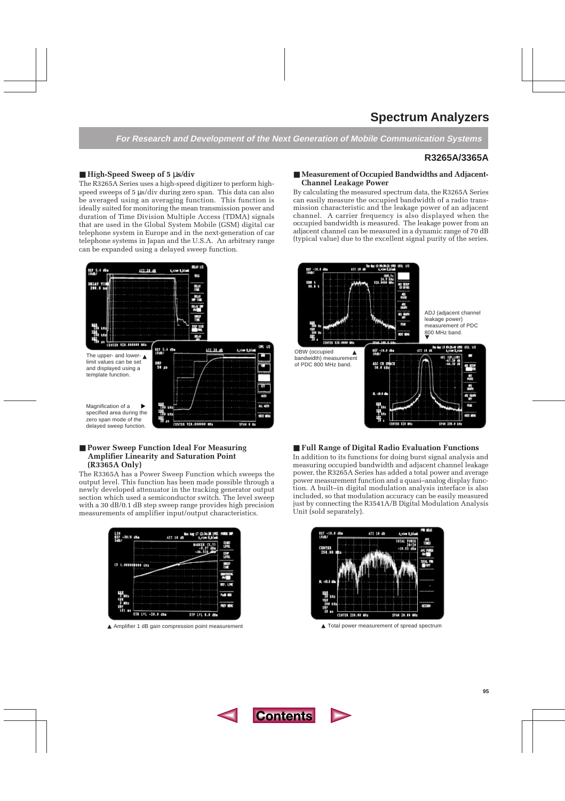# **Spectrum Analyzers**

**For Research and Development of the Next Generation of Mobile Communication Systems**

# **R3265A/3365A**

## ■ **High-Speed Sweep of 5** µ**s/div**

The R3265A Series uses a high-speed digitizer to perform highspeed sweeps of 5  $\mu$ s/div during zero span. This data can also be averaged using an averaging function. This function is ideally suited for monitoring the mean transmission power and duration of Time Division Multiple Access (TDMA) signals that are used in the Global System Mobile (GSM) digital car telephone system in Europe and in the next-generation of car telephone systems in Japan and the U.S.A. An arbitrary range can be expanded using a delayed sweep function.



## ■ **Power Sweep Function Ideal For Measuring Amplifier Linearity and Saturation Point (R3365A Only)**

The R3365A has a Power Sweep Function which sweeps the output level. This function has been made possible through a newly developed attenuator in the tracking generator output section which used a semiconductor switch. The level sweep with a 30 dB/0.1 dB step sweep range provides high precision measurements of amplifier input/output characteristics.



▲ Amplifier 1 dB gain compression point measurement ▲ Total power measurement of spread spectrum

### ■ Measurement of Occupied Bandwidths and Adjacent-**Channel Leakage Power**

By calculating the measured spectrum data, the R3265A Series can easily measure the occupied bandwidth of a radio transmission characteristic and the leakage power of an adjacent channel. A carrier frequency is also displayed when the occupied bandwidth is measured. The leakage power from an adjacent channel can be measured in a dynamic range of 70 dB (typical value) due to the excellent signal purity of the series.



### ■ **Full Range of Digital Radio Evaluation Functions**

In addition to its functions for doing burst signal analysis and measuring occupied bandwidth and adjacent channel leakage power, the R3265A Series has added a total power and average power measurement function and a quasi–analog display function. A built–in digital modulation analysis interface is also included, so that modulation accuracy can be easily measured just by connecting the R3541A/B Digital Modulation Analysis Unit (sold separately).

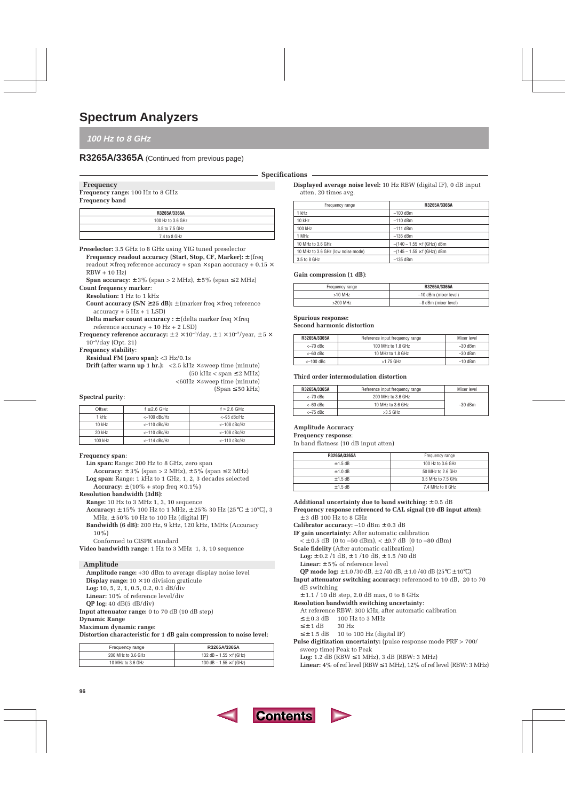## **100 Hz to 8 GHz**

# **R3265A/3365A** (Continued from previous page)

**Specifications**

#### **Frequency**

**Frequency range:** 100 Hz to 8 GHz

## **Frequency band**

| R3265A/3365A      |
|-------------------|
| 100 Hz to 3.6 GHz |
| 3.5 to 7.5 GHz    |
| 7.4 to 8 GHz      |

**Preselector:** 3.5 GHz to 8 GHz using YIG tuned preselector **Frequency readout accuracy (Start, Stop, CF, Marker):** ± (freq readout  $\times$  freq reference accuracy + span  $\times$  span accuracy + 0.15  $\times$ RBW + 10 Hz)

**Span accuracy:**  $\pm$  3% (span > 2 MHz),  $\pm$  5% (span  $\le$  2 MHz)

## **Count frequency marker**:

**Resolution:** 1 Hz to 1 kHz

**Count accuracy**  $(S/N \ge 25 dB): \pm$  **(marker freq**  $\times$  **freq reference**  $accuracy + 5 Hz + 1 LSD$ 

**Delta marker count accuracy :**  $\pm$  (delta marker freq  $\times$  freq reference accuracy + 10 Hz + 2 LSD)

**Frequency reference accuracy:**  $\pm 2 \times 10^{-8}$ /day,  $\pm 1 \times 10^{-7}$ /year,  $\pm 5 \times$ 10–9/day (Opt. 21)

**Frequency stability**:

**Residual FM (zero span):** <3 Hz/0.1s

**Drift (after warm up 1 hr.):** <2.5 kHz  $\times$  sweep time (minute)  $(50 \text{ kHz} < \text{span} \leq 2 \text{ MHz})$ <60Hz × sweep time (minute)  $(Span \leq 50 kHz)$ 

#### **Spectral purity**:

| Offset  | $f \leq 2.6$ GHz | $f > 2.6$ GHz |
|---------|------------------|---------------|
| 1 kHz   | $<-100$ dBc/Hz   | $<-95$ dBc/Hz |
| 10 kHz  | $<-110$ dBc/Hz   | <-108 dBc/Hz  |
| 20 kHz  | $<-110$ dBc/Hz   | <-108 dBc/Hz  |
| 100 kHz | <-114 dBc/Hz     | <-110 dBc/Hz  |

#### **Frequency span**:

- **Lin span:** Range: 200 Hz to 8 GHz, zero span
	- **Accuracy:**  $\pm$  3% (span > 2 MHz),  $\pm$  5% (span  $\le$  2 MHz)
- **Log span:** Range: 1 kHz to 1 GHz, 1, 2, 3 decades selected
- **Accuracy:**  $\pm$  (10% + stop freq  $\times$  0.1%)

#### **Resolution bandwidth (3dB)**:

**Range:** 10 Hz to 3 MHz 1, 3, 10 sequence

- **Accuracy:** ± 15% 100 Hz to 1 MHz, ± 25% 30 Hz (25°C ± 10°C), 3 MHz,  $\pm$  50% 10 Hz to 100 Hz (digital IF)
- **Bandwidth (6 dB):** 200 Hz, 9 kHz, 120 kHz, 1MHz (Accuracy  $10\%$

Conformed to CISPR standard

**Video bandwidth range:** 1 Hz to 3 MHz 1, 3, 10 sequence

#### **Amplitude**

**Amplitude range:** +30 dBm to average display noise level **Display range:**  $10 \times 10$  division graticule **Log:** 10, 5, 2, 1, 0.5, 0.2, 0.1 dB/div **Linear:** 10% of reference level/div **QP log:** 40 dB(5 dB/div) **Input attenuator range:** 0 to 70 dB (10 dB step) **Dynamic Range**

#### **Maximum dynamic range:**

**Distortion characteristic for 1 dB gain compression to noise level**:

| Frequency range    | R3265A/3365A                     |
|--------------------|----------------------------------|
| 200 MHz to 3.6 GHz | 132 dB $-$ 1.55 $\times$ f (GHz) |
| 10 MHz to 3.6 GHz  | 130 dB $-$ 1.55 $\times$ f (GHz) |

**Displayed average noise level:** 10 Hz RBW (digital IF), 0 dB input atten, 20 times avg.

| Frequency range                    | R3265A/3365A                       |
|------------------------------------|------------------------------------|
| 1 kHz                              | $-100$ dBm                         |
| $10$ kHz                           | $-110$ dBm                         |
| 100 kHz                            | $-111$ dBm                         |
| 1 MHz                              | $-135$ dBm                         |
| 10 MHz to 3.6 GHz                  | $-(140 - 1.55 \times f$ (GHz)) dBm |
| 10 MHz to 3.6 GHz (low noise mode) | $-(145 - 1.55 \times f$ (GHz)) dBm |
| 3.5 to 8 GHz                       | $-135$ dBm                         |

#### **Gain compression (1 dB)**:

| Frequency range | R3265A/3365A          |
|-----------------|-----------------------|
| $>10$ MHz       | –10 dBm (mixer level) |
| $>200$ MHz      | -8 dBm (mixer level)  |

#### **Spurious response:**

#### **Second harmonic distortion**

| R3265A/3365A | Reference input frequency range | Mixer level |
|--------------|---------------------------------|-------------|
| $<-70$ dBc   | 100 MHz to 1.8 GHz              | $-30$ dBm   |
| $<-60$ dBc   | 10 MHz to 1.8 GHz               | $-30$ dBm   |
| $<-100$ dBc  | $>1.75$ GHz                     | $-10$ dBm   |

#### **Third order intermodulation distortion**

| R3265A/3365A | Reference input frequency range | Mixer level |
|--------------|---------------------------------|-------------|
| $<-70$ dBc   | 200 MHz to 3.6 GHz              |             |
| $<-60$ dBc   | 10 MHz to 3.6 GHz               | $-30$ dBm   |
| $<-75$ dBc   | $>3.5$ GHz                      |             |

#### **Amplitude Accuracy**

#### **Frequency response**:

In band flatness (10 dB input atten)

| R3265A/3365A | Frequency range    |
|--------------|--------------------|
| $± 1.5$ dB   | 100 Hz to 3.6 GHz  |
| $+1.0$ dB    | 50 MHz to 2.6 GHz  |
| $+1.5$ dB    | 3.5 MHz to 7.5 GHz |
| $\pm$ 1.5 dB | 7.4 MHz to 8 GHz   |

**Additional uncertainty due to band switching:** ± 0.5 dB **Frequency response referenced to CAL signal (10 dB input atten):** ± 3 dB 100 Hz to 8 GHz

- **Calibrator accuracy:** –10 dBm ± 0.3 dB
- **IF gain uncertainty:** After automatic calibration
- $\lt t \pm 0.5$  dB (0 to  $-50$  dBm),  $\lt \pm 0.7$  dB (0 to  $-80$  dBm)
- **Scale fidelity** (After automatic calibration) **Log:** ± 0.2 /1 dB, ± 1 /10 dB, ± 1.5 /90 dB
	- **Linear:** ± 5% of reference level

**QP mode log:** ± 1.0 /30 dB, ± 2 /40 dB, ± 1.0 /40 dB (25°C ± 10°C)

**Input attenuator switching accuracy:** referenced to 10 dB, 20 to 70 dB switching

± 1.1 / 10 dB step, 2.0 dB max, 0 to 8 GHz

**Resolution bandwidth switching uncertainty**:

At reference RBW: 300 kHz, after automatic calibration

- $\leq \pm 0.3$  dB 100 Hz to 3 MHz
- $\leq \pm 1$  dB 30 Hz
- $\leq \pm 1.5$  dB 10 to 100 Hz (digital IF)
- **Pulse digitization uncertainty:** (pulse response mode PRF > 700/ sweep time) Peak to Peak
	- **Log:** 1.2 dB (RBW ≤ 1 MHz), 3 dB (RBW: 3 MHz)

**Linear:**  $4\%$  of ref level (RBW  $\leq 1$  MHz),  $12\%$  of ref level (RBW: 3 MHz)